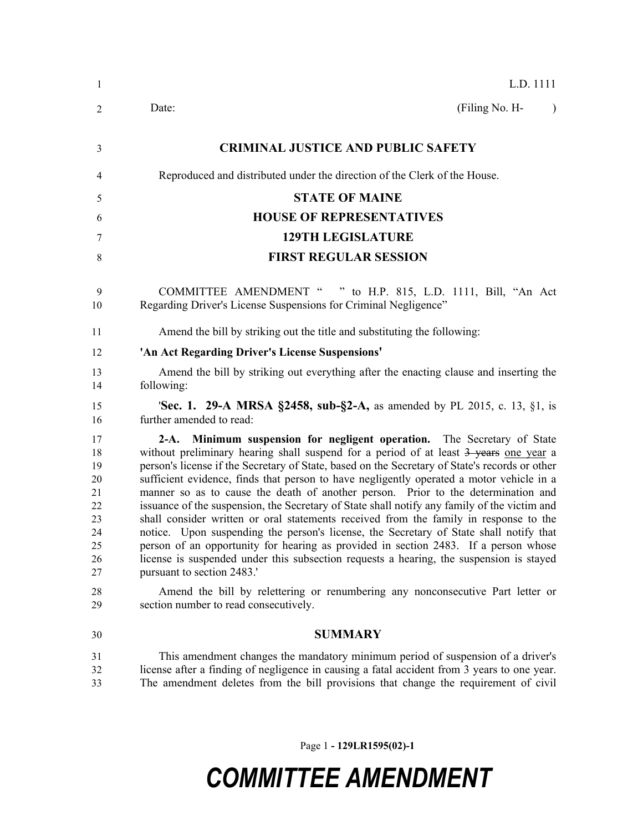| 1                                                                          | L.D. 1111                                                                                                                                                                                                                                                                                                                                                                                                                                                                                                                                                                                                                                                                                                                                                                                                                                                                                                                                                                                                                                                                         |
|----------------------------------------------------------------------------|-----------------------------------------------------------------------------------------------------------------------------------------------------------------------------------------------------------------------------------------------------------------------------------------------------------------------------------------------------------------------------------------------------------------------------------------------------------------------------------------------------------------------------------------------------------------------------------------------------------------------------------------------------------------------------------------------------------------------------------------------------------------------------------------------------------------------------------------------------------------------------------------------------------------------------------------------------------------------------------------------------------------------------------------------------------------------------------|
| 2                                                                          | (Filing No. H-<br>Date:<br>$\lambda$                                                                                                                                                                                                                                                                                                                                                                                                                                                                                                                                                                                                                                                                                                                                                                                                                                                                                                                                                                                                                                              |
| 3                                                                          | <b>CRIMINAL JUSTICE AND PUBLIC SAFETY</b>                                                                                                                                                                                                                                                                                                                                                                                                                                                                                                                                                                                                                                                                                                                                                                                                                                                                                                                                                                                                                                         |
| 4                                                                          | Reproduced and distributed under the direction of the Clerk of the House.                                                                                                                                                                                                                                                                                                                                                                                                                                                                                                                                                                                                                                                                                                                                                                                                                                                                                                                                                                                                         |
| 5                                                                          | <b>STATE OF MAINE</b>                                                                                                                                                                                                                                                                                                                                                                                                                                                                                                                                                                                                                                                                                                                                                                                                                                                                                                                                                                                                                                                             |
| 6                                                                          | <b>HOUSE OF REPRESENTATIVES</b>                                                                                                                                                                                                                                                                                                                                                                                                                                                                                                                                                                                                                                                                                                                                                                                                                                                                                                                                                                                                                                                   |
| 7                                                                          | <b>129TH LEGISLATURE</b>                                                                                                                                                                                                                                                                                                                                                                                                                                                                                                                                                                                                                                                                                                                                                                                                                                                                                                                                                                                                                                                          |
| 8                                                                          | <b>FIRST REGULAR SESSION</b>                                                                                                                                                                                                                                                                                                                                                                                                                                                                                                                                                                                                                                                                                                                                                                                                                                                                                                                                                                                                                                                      |
| 9<br>10                                                                    | COMMITTEE AMENDMENT "<br>" to H.P. 815, L.D. 1111, Bill, "An Act<br>Regarding Driver's License Suspensions for Criminal Negligence"                                                                                                                                                                                                                                                                                                                                                                                                                                                                                                                                                                                                                                                                                                                                                                                                                                                                                                                                               |
| 11                                                                         | Amend the bill by striking out the title and substituting the following:                                                                                                                                                                                                                                                                                                                                                                                                                                                                                                                                                                                                                                                                                                                                                                                                                                                                                                                                                                                                          |
| 12                                                                         | 'An Act Regarding Driver's License Suspensions'                                                                                                                                                                                                                                                                                                                                                                                                                                                                                                                                                                                                                                                                                                                                                                                                                                                                                                                                                                                                                                   |
| 13<br>14                                                                   | Amend the bill by striking out everything after the enacting clause and inserting the<br>following:                                                                                                                                                                                                                                                                                                                                                                                                                                                                                                                                                                                                                                                                                                                                                                                                                                                                                                                                                                               |
| 15<br>16                                                                   | <b>'Sec. 1. 29-A MRSA §2458, sub-§2-A, as amended by PL 2015, c. 13, §1, is</b><br>further amended to read:                                                                                                                                                                                                                                                                                                                                                                                                                                                                                                                                                                                                                                                                                                                                                                                                                                                                                                                                                                       |
| 17<br>18<br>19<br>20<br>21<br>22<br>23<br>24<br>25<br>26<br>27<br>28<br>29 | 2-A. Minimum suspension for negligent operation. The Secretary of State<br>without preliminary hearing shall suspend for a period of at least 3 years one year a<br>person's license if the Secretary of State, based on the Secretary of State's records or other<br>sufficient evidence, finds that person to have negligently operated a motor vehicle in a<br>manner so as to cause the death of another person. Prior to the determination and<br>issuance of the suspension, the Secretary of State shall notify any family of the victim and<br>shall consider written or oral statements received from the family in response to the<br>notice. Upon suspending the person's license, the Secretary of State shall notify that<br>person of an opportunity for hearing as provided in section 2483. If a person whose<br>license is suspended under this subsection requests a hearing, the suspension is stayed<br>pursuant to section 2483.'<br>Amend the bill by relettering or renumbering any nonconsecutive Part letter or<br>section number to read consecutively. |
| 30                                                                         | <b>SUMMARY</b>                                                                                                                                                                                                                                                                                                                                                                                                                                                                                                                                                                                                                                                                                                                                                                                                                                                                                                                                                                                                                                                                    |
| 31<br>32                                                                   | This amendment changes the mandatory minimum period of suspension of a driver's<br>license after a finding of negligence in causing a fatal accident from 3 years to one year.                                                                                                                                                                                                                                                                                                                                                                                                                                                                                                                                                                                                                                                                                                                                                                                                                                                                                                    |

The amendment deletes from the bill provisions that change the requirement of civil

Page 1 **- 129LR1595(02)-1**

## *COMMITTEE AMENDMENT*